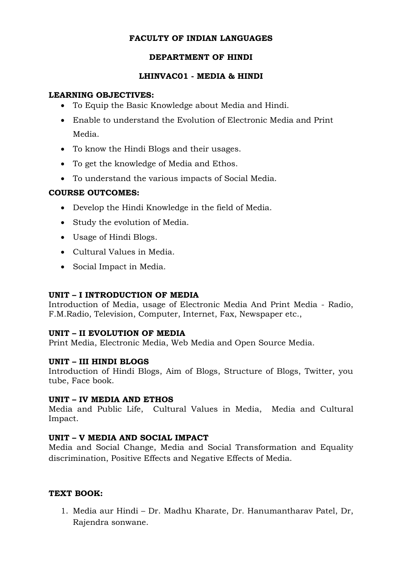#### **FACULTY OF INDIAN LANGUAGES**

#### **DEPARTMENT OF HINDI**

#### **LHINVAC01 - MEDIA & HINDI**

#### **LEARNING OBJECTIVES:**

- To Equip the Basic Knowledge about Media and Hindi.
- Enable to understand the Evolution of Electronic Media and Print Media.
- To know the Hindi Blogs and their usages.
- To get the knowledge of Media and Ethos.
- To understand the various impacts of Social Media.

# **COURSE OUTCOMES:**

- Develop the Hindi Knowledge in the field of Media.
- Study the evolution of Media.
- Usage of Hindi Blogs.
- Cultural Values in Media.
- Social Impact in Media.

# **UNIT – I INTRODUCTION OF MEDIA**

Introduction of Media, usage of Electronic Media And Print Media - Radio, F.M.Radio, Television, Computer, Internet, Fax, Newspaper etc.,

# **UNIT – II EVOLUTION OF MEDIA**

Print Media, Electronic Media, Web Media and Open Source Media.

# **UNIT – III HINDI BLOGS**

Introduction of Hindi Blogs, Aim of Blogs, Structure of Blogs, Twitter, you tube, Face book.

# **UNIT – IV MEDIA AND ETHOS**

Media and Public Life, Cultural Values in Media, Media and Cultural Impact.

# **UNIT – V MEDIA AND SOCIAL IMPACT**

Media and Social Change, Media and Social Transformation and Equality discrimination, Positive Effects and Negative Effects of Media.

# **TEXT BOOK:**

1. Media aur Hindi – Dr. Madhu Kharate, Dr. Hanumantharav Patel, Dr, Rajendra sonwane.